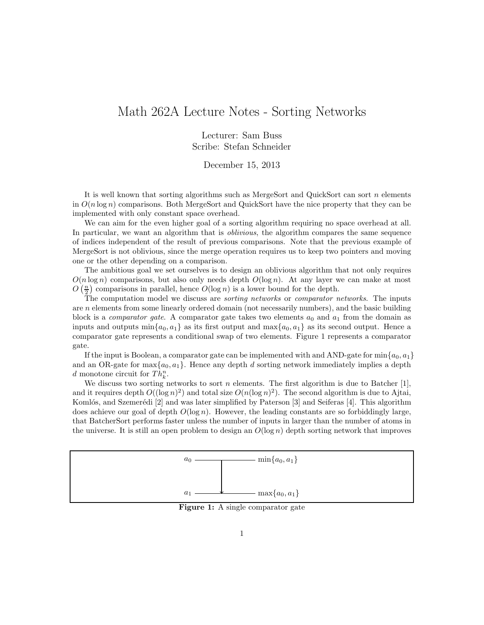## Math 262A Lecture Notes - Sorting Networks

Lecturer: Sam Buss Scribe: Stefan Schneider

December 15, 2013

It is well known that sorting algorithms such as MergeSort and QuickSort can sort  $n$  elements in  $O(n \log n)$  comparisons. Both MergeSort and QuickSort have the nice property that they can be implemented with only constant space overhead.

We can aim for the even higher goal of a sorting algorithm requiring no space overhead at all. In particular, we want an algorithm that is *oblivious*, the algorithm compares the same sequence of indices independent of the result of previous comparisons. Note that the previous example of MergeSort is not oblivious, since the merge operation requires us to keep two pointers and moving one or the other depending on a comparison.

The ambitious goal we set ourselves is to design an oblivious algorithm that not only requires  $O(n \log n)$  comparisons, but also only needs depth  $O(\log n)$ . At any layer we can make at most  $O\left(\frac{n}{2}\right)$  comparisons in parallel, hence  $O(\log n)$  is a lower bound for the depth.

The computation model we discuss are *sorting networks* or *comparator networks*. The inputs are n elements from some linearly ordered domain (not necessarily numbers), and the basic building block is a *comparator gate*. A comparator gate takes two elements  $a_0$  and  $a_1$  from the domain as inputs and outputs  $\min\{a_0, a_1\}$  as its first output and  $\max\{a_0, a_1\}$  as its second output. Hence a comparator gate represents a conditional swap of two elements. Figure 1 represents a comparator gate.

If the input is Boolean, a comparator gate can be implemented with and AND-gate for  $\min\{a_0, a_1\}$ and an OR-gate for  $\max\{a_0, a_1\}$ . Hence any depth d sorting network immediately implies a depth d monotone circuit for  $Th_k^n$ .

We discuss two sorting networks to sort n elements. The first algorithm is due to Batcher [1], and it requires depth  $O((\log n)^2)$  and total size  $O(n(\log n)^2)$ . The second algorithm is due to Ajtai, Komlós, and Szemerédi  $[2]$  and was later simplified by Paterson  $[3]$  and Seiferas  $[4]$ . This algorithm does achieve our goal of depth  $O(\log n)$ . However, the leading constants are so forbiddingly large, that BatcherSort performs faster unless the number of inputs in larger than the number of atoms in the universe. It is still an open problem to design an  $O(\log n)$  depth sorting network that improves



Figure 1: A single comparator gate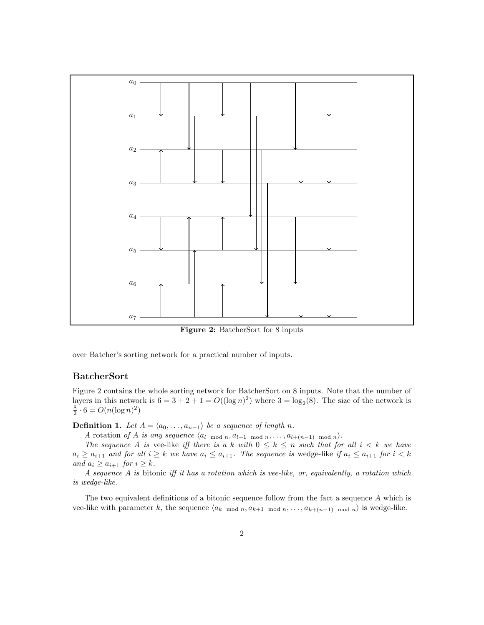

Figure 2: BatcherSort for 8 inputs

over Batcher's sorting network for a practical number of inputs.

## BatcherSort

Figure 2 contains the whole sorting network for BatcherSort on 8 inputs. Note that the number of layers in this network is  $6 = 3 + 2 + 1 = O((\log n)^2)$  where  $3 = \log_2(8)$ . The size of the network is  $\frac{8}{2} \cdot 6 = O(n(\log n)^2)$ 

**Definition 1.** Let  $A = \langle a_0, \ldots, a_{n-1} \rangle$  be a sequence of length n.

A rotation of A is any sequence  $\langle a_{l \mod n}, a_{l+1} \mod n, \ldots, a_{l+(n-1) \mod n} \rangle$ .

The sequence A is vee-like iff there is a k with  $0 \leq k \leq n$  such that for all  $i < k$  we have  $a_i \ge a_{i+1}$  and for all  $i \ge k$  we have  $a_i \le a_{i+1}$ . The sequence is wedge-like if  $a_i \le a_{i+1}$  for  $i < k$ and  $a_i \geq a_{i+1}$  for  $i \geq k$ .

A sequence A is bitonic iff it has a rotation which is vee-like, or, equivalently, a rotation which is wedge-like.

The two equivalent definitions of a bitonic sequence follow from the fact a sequence A which is vee-like with parameter k, the sequence  $\langle a_{k \mod n}, a_{k+1 \mod n}, \ldots, a_{k+(n-1) \mod n} \rangle$  is wedge-like.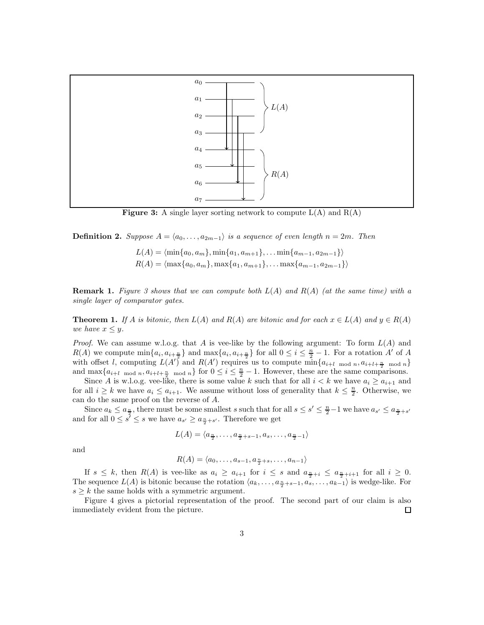

**Figure 3:** A single layer sorting network to compute  $L(A)$  and  $R(A)$ 

**Definition 2.** Suppose  $A = \langle a_0, \ldots, a_{2m-1} \rangle$  is a sequence of even length  $n = 2m$ . Then

 $L(A) = \langle \min\{a_0, a_m\}, \min\{a_1, a_{m+1}\}, \ldots \min\{a_{m-1}, a_{2m-1}\}\rangle$  $R(A) = \langle \max\{a_0, a_m\}, \max\{a_1, a_{m+1}\}, \ldots \max\{a_{m-1}, a_{2m-1}\}\rangle$ 

**Remark 1.** Figure 3 shows that we can compute both  $L(A)$  and  $R(A)$  (at the same time) with a single layer of comparator gates.

**Theorem 1.** If A is bitonic, then  $L(A)$  and  $R(A)$  are bitonic and for each  $x \in L(A)$  and  $y \in R(A)$ we have  $x \leq y$ .

*Proof.* We can assume w.l.o.g. that A is vee-like by the following argument: To form  $L(A)$  and  $R(A)$  we compute  $\min\{a_i, a_{i+\frac{n}{2}}\}$  and  $\max\{a_i, a_{i+\frac{n}{2}}\}$  for all  $0 \leq i \leq \frac{n}{2} - 1$ . For a rotation A' of A with offset l, computing  $L(A')$  and  $R(A')$  requires us to compute  $\min\{a_{i+l \mod n}, a_{i+l+\frac{n}{2} \mod n}\}$ and  $\max\{a_{i+l \mod n}, a_{i+l+\frac{n}{2} \mod n}\}\$  for  $0 \leq i \leq \frac{n}{2}-1$ . However, these are the same comparisons.

Since A is w.l.o.g. vee-like, there is some value k such that for all  $i < k$  we have  $a_i \ge a_{i+1}$  and for all  $i \geq k$  we have  $a_i \leq a_{i+1}$ . We assume without loss of generality that  $k \leq \frac{n}{2}$ . Otherwise, we can do the same proof on the reverse of A.

Since  $a_k \le a_{\frac{n}{2}}$ , there must be some smallest s such that for all  $s \le s' \le \frac{n}{2}-1$  we have  $a_{s'} \le a_{\frac{n}{2}+s'}$ and for all  $0 \leq s' \leq s$  we have  $a_{s'} \geq a_{\frac{n}{2}+s'}$ . Therefore we get

$$
L(A) = \langle a_{\frac{n}{2}}, \dots, a_{\frac{n}{2}+s-1}, a_s, \dots, a_{\frac{n}{2}-1} \rangle
$$

and

$$
R(A) = \langle a_0, \dots, a_{s-1}, a_{\frac{n}{2}+s}, \dots, a_{n-1} \rangle
$$

If  $s \leq k$ , then  $R(A)$  is vee-like as  $a_i \geq a_{i+1}$  for  $i \leq s$  and  $a_{\frac{n}{2}+i} \leq a_{\frac{n}{2}+i+1}$  for all  $i \geq 0$ . The sequence  $L(A)$  is bitonic because the rotation  $\langle a_k, \ldots, a_{\frac{n}{2}+s-1}, a_s, \ldots, a_{k-1} \rangle$  is wedge-like. For  $s \geq k$  the same holds with a symmetric argument.

Figure 4 gives a pictorial representation of the proof. The second part of our claim is also immediately evident from the picture.  $\Box$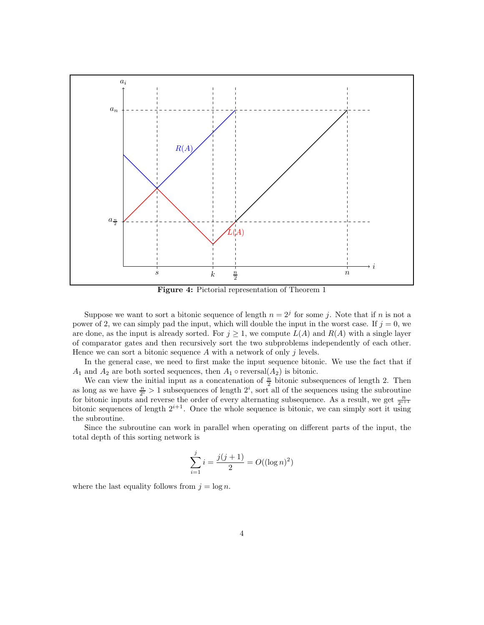

Figure 4: Pictorial representation of Theorem 1

Suppose we want to sort a bitonic sequence of length  $n = 2<sup>j</sup>$  for some j. Note that if n is not a power of 2, we can simply pad the input, which will double the input in the worst case. If  $j = 0$ , we are done, as the input is already sorted. For  $j \geq 1$ , we compute  $L(A)$  and  $R(A)$  with a single layer of comparator gates and then recursively sort the two subproblems independently of each other. Hence we can sort a bitonic sequence  $A$  with a network of only  $j$  levels.

In the general case, we need to first make the input sequence bitonic. We use the fact that if  $A_1$  and  $A_2$  are both sorted sequences, then  $A_1 \circ \text{reversal}(A_2)$  is bitonic.

We can view the initial input as a concatenation of  $\frac{n}{2}$  bitonic subsequences of length 2. Then as long as we have  $\frac{n}{2^i} > 1$  subsequences of length  $2^i$ , sort all of the sequences using the subroutine for bitonic inputs and reverse the order of every alternating subsequence. As a result, we get  $\frac{n}{2^{i+1}}$ bitonic sequences of length  $2^{i+1}$ . Once the whole sequence is bitonic, we can simply sort it using the subroutine.

Since the subroutine can work in parallel when operating on different parts of the input, the total depth of this sorting network is

$$
\sum_{i=1}^{j} i = \frac{j(j+1)}{2} = O((\log n)^2)
$$

where the last equality follows from  $j = \log n$ .